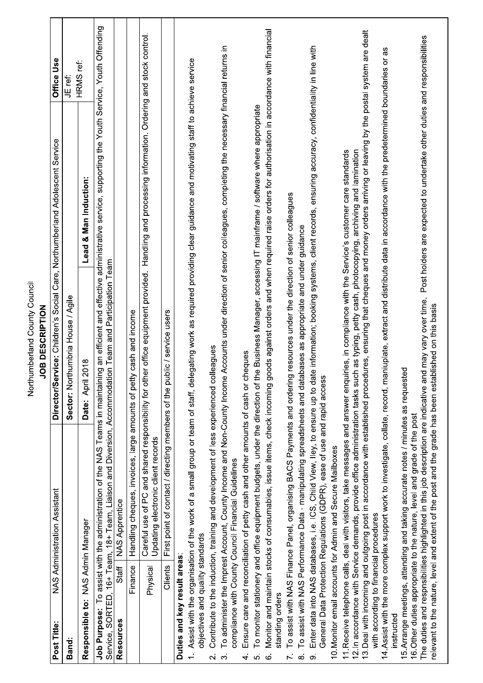| S<br>i<br>C<br>C<br>۶<br>ί<br>ī<br>ī<br>Ξ<br>$\frac{1}{2}$<br>۔<br>2<br>2<br>5<br>2<br>nharlanr |
|-------------------------------------------------------------------------------------------------|
|-------------------------------------------------------------------------------------------------|

Г

| Post Title:                      | NAS Administration Assistant                                                                                                                                                                                                                                                             | Director/Service: Children's Social Care, Northumberland Adolescent Service |                                                                                               | Office Use |
|----------------------------------|------------------------------------------------------------------------------------------------------------------------------------------------------------------------------------------------------------------------------------------------------------------------------------------|-----------------------------------------------------------------------------|-----------------------------------------------------------------------------------------------|------------|
| Band:                            |                                                                                                                                                                                                                                                                                          | Sector: Northumbria House / Agile                                           |                                                                                               | JE ref:    |
|                                  | Responsible to: NAS Admin Manager                                                                                                                                                                                                                                                        | Date: April 2018                                                            | Lead & Man Induction:                                                                         | HRMS ref:  |
|                                  | Job Purpose: To assist with the administration of the NAS Teams in maintaining an efficient and effective administrative service, supporting the Youth Service, Youth Offending<br>Service, SORTED, 16+ Team, 18+ Team, Liaison and Diversion, Accommodation Team and Participation Team |                                                                             |                                                                                               |            |
| Resources                        | <b>NAS Apprentice</b><br>Staff                                                                                                                                                                                                                                                           |                                                                             |                                                                                               |            |
|                                  | Handling cheques, invoices, large amounts of petty cash and income<br>Finance                                                                                                                                                                                                            |                                                                             |                                                                                               |            |
|                                  | Careful use of PC and shared responsibility for<br>Updating electronic client records<br>Physical                                                                                                                                                                                        | other office equipment provided.                                            | Handling and processing information. Ordering and stock control.                              |            |
|                                  | First point of contact / directing members of the<br>Clients                                                                                                                                                                                                                             | public / service users                                                      |                                                                                               |            |
| Duties and key result areas:     |                                                                                                                                                                                                                                                                                          |                                                                             |                                                                                               |            |
|                                  | Assist with the organisation of the work of a small group or team of staff,<br>objectives and quality standards                                                                                                                                                                          |                                                                             | delegating work as required providing clear guidance and motivating staff to achieve service  |            |
| $\overline{\mathsf{N}}$          | Contribute to the induction, training and development of less experienced                                                                                                                                                                                                                | colleagues                                                                  |                                                                                               |            |
| က်                               | To administer the Imprest Account, County Income and Non-County Income Accounts under direction of senior colleagues, completing the necessary financial returns in<br>compliance with County Council Financial Guidelines                                                               |                                                                             |                                                                                               |            |
| 4                                | Ensure care and reconciliation of petty cash and other amounts of cash or cheques                                                                                                                                                                                                        |                                                                             |                                                                                               |            |
| ιó,                              | To monitor stationery and office equipment budgets, under the direction of the Business Manager, accessing IT mainframe / software where appropriate                                                                                                                                     |                                                                             |                                                                                               |            |
| standing orders<br>$\dot{\circ}$ | Monitor and maintain stocks of consumables, issue items, check incoming goods against orders and when required raise orders for authorisation in accordance with financial                                                                                                               |                                                                             |                                                                                               |            |
| Y.                               | To assist with NAS Finance Panel, organising BACS Payments and ordering resources under the direction of senior colleagues                                                                                                                                                               |                                                                             |                                                                                               |            |
| $\dot{\infty}$                   | To assist with NAS Performance Data - manipulating spreadsheets and d                                                                                                                                                                                                                    | atabases as appropriate and under guidance                                  |                                                                                               |            |
| တ                                | Enter data into NAS databases, i.e. ICS, Child View, Iley, to ensure up to date information; booking systems, client records, ensuring accuracy, confidentiality in line with<br>General Data Protection Regulations (GDPR), ease of use and rapid access                                |                                                                             |                                                                                               |            |
|                                  | 10. Monitor email accounts for Admin and Secure Mailboxes                                                                                                                                                                                                                                |                                                                             |                                                                                               |            |
|                                  | 11. Receive telephone calls, deal with visitors, take messages and answer enquiries, in compliance with the Service's customer care standards<br>12. In accordance with Service demands, provide office administration tasks                                                             | such as typing, petty cash, photocopying, archiving and lamination          |                                                                                               |            |
|                                  | 13. Deal with incoming and outgoing post in accordance with established with established reces, ensuring that cheques and money orders arriving or leaving by the postal system are dealt<br>with according to financial procedures                                                      |                                                                             |                                                                                               |            |
|                                  | 14. Assist with the more complex support work to investigate, collate, record,                                                                                                                                                                                                           |                                                                             | maniuplate, extract and distribute data in accordance with the predetermined boundaries or as |            |
| instructed                       |                                                                                                                                                                                                                                                                                          |                                                                             |                                                                                               |            |
|                                  | 15. Arrange meetings, attending and taking accurate notes / minutes as requested                                                                                                                                                                                                         |                                                                             |                                                                                               |            |
|                                  | 16. Other duties appropriate to the nature, level and grade of the post                                                                                                                                                                                                                  |                                                                             |                                                                                               |            |
|                                  | relevant to the nature, level and extent of the post and the grade has been established on this basis<br>The duties and respnsibilities highlighted in this job description are indicative                                                                                               | and may vary over time.                                                     | Post holders are expected to undertake other duties and responsibilities                      |            |
|                                  |                                                                                                                                                                                                                                                                                          |                                                                             |                                                                                               |            |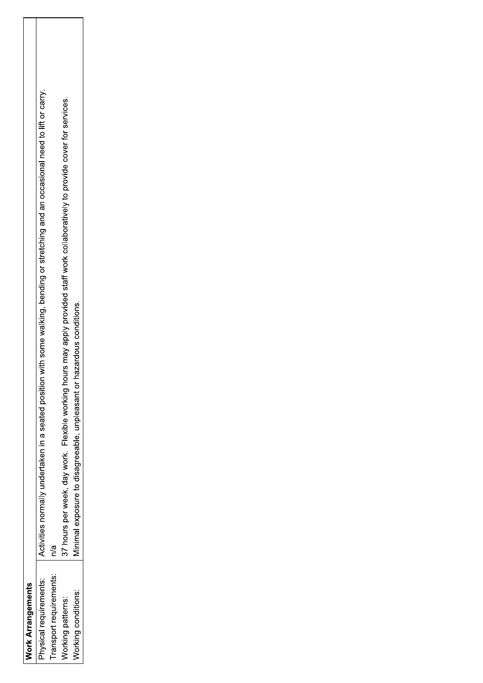| <b>Nork Arrangements</b> |                                                                                                                                       |
|--------------------------|---------------------------------------------------------------------------------------------------------------------------------------|
| Physical requirements:   | Activities normally undertaken in a seated position with some walking, bending or stretching and an occasional need to lift or carry. |
| ransport requirements:   |                                                                                                                                       |
| Norking patterns:        | 37 hours per week, day work. Flexible working hours may apply provided staff work collaboratively to provide cover for services.      |
| Norking conditions:      | Ainimal exposure to disagreeable, unpleasant or hazardous conditions.                                                                 |
|                          |                                                                                                                                       |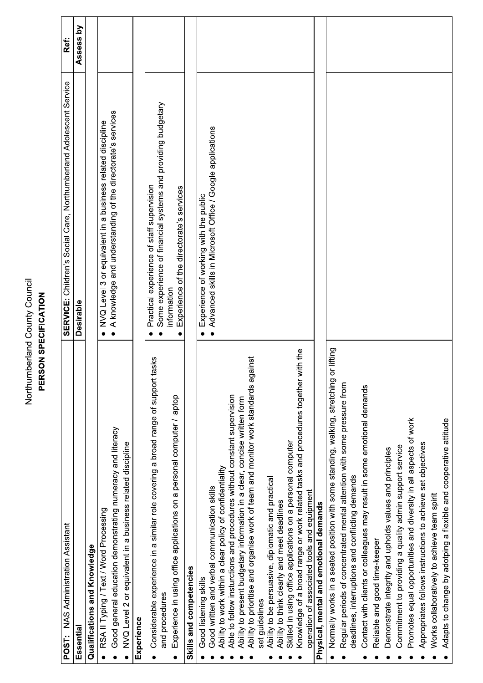## Northumberland County Council<br>PERSON SPECIFICATION

| <b>POST: NAS Administration Assistant</b>                                                                                                                       | SERVICE: Children's Social Care, Northumberland Adolescent Service          | Ref:      |
|-----------------------------------------------------------------------------------------------------------------------------------------------------------------|-----------------------------------------------------------------------------|-----------|
| Essential                                                                                                                                                       | <b>Desirable</b>                                                            | Assess by |
| Qualifications and Knowledge                                                                                                                                    |                                                                             |           |
| RSA II Typing / Text / Word Processing                                                                                                                          | NVQ Level 3 or equivalent in a business related discipline                  |           |
| Good general education demonstrating numeracy and literacy                                                                                                      | • A knowledge and understanding of the directorate's services               |           |
| NVQ Level 2 or equivalent in a business related discipline                                                                                                      |                                                                             |           |
| Experience                                                                                                                                                      |                                                                             |           |
| Considerable experience in a similar role covering a broad range of support tasks                                                                               | Practical experience of staff supervision                                   |           |
| and procedures                                                                                                                                                  | Some experience of financial systems and providing budgetary<br>information |           |
| Experience in using office applications on a personal computer / laptop                                                                                         | Experience of the directorate's services                                    |           |
| Skills and competencies                                                                                                                                         |                                                                             |           |
| Good listening skills                                                                                                                                           | Experience of working with the public<br>$\bullet$                          |           |
| Good written and verbal communication skills                                                                                                                    | • Advanced skills in Microsoft Office / Google applications                 |           |
| Ability to work within a clear policy of confidentiality                                                                                                        |                                                                             |           |
| Able to follow insturctions and procedures without constant supervision                                                                                         |                                                                             |           |
| Ability to prioritise and organise work of team and monitor work standards against<br>Ability to present budgetary information in a clear, concise written form |                                                                             |           |
| set guidelines                                                                                                                                                  |                                                                             |           |
| Ability to be persuasive, diplomatic and practical                                                                                                              |                                                                             |           |
| Ability to think clearly and meet deadlines                                                                                                                     |                                                                             |           |
| Skilled in using office applications on a personal computer                                                                                                     |                                                                             |           |
| with the<br>Knowledge of a broad range or work related tasks and procedures together                                                                            |                                                                             |           |
| operation of associated tools and equipment                                                                                                                     |                                                                             |           |
| Physical, mental and emotional demands                                                                                                                          |                                                                             |           |
| Normally works in a seated position with some standing, walking, stretching or lifting                                                                          |                                                                             |           |
| Regular periods of concentrated mental attention with some pressure from                                                                                        |                                                                             |           |
| deadlines, interruptions and conflicting demands                                                                                                                |                                                                             |           |
| Contact with clients or colleagues may result in some emotional demands                                                                                         |                                                                             |           |
| Reliable and good time-keeper                                                                                                                                   |                                                                             |           |
| Demonstrate integrity and upholds values and principles                                                                                                         |                                                                             |           |
| Commitment to providing a quality admin support service                                                                                                         |                                                                             |           |
| Promotes equal opportunities and diversity in all aspects of work                                                                                               |                                                                             |           |
| Appropriates follows instructions to achieve set objectives                                                                                                     |                                                                             |           |
| Works collaboratively to achieve team spirit                                                                                                                    |                                                                             |           |
| Adapts to change by adotping a flexible and cooperative attitude                                                                                                |                                                                             |           |